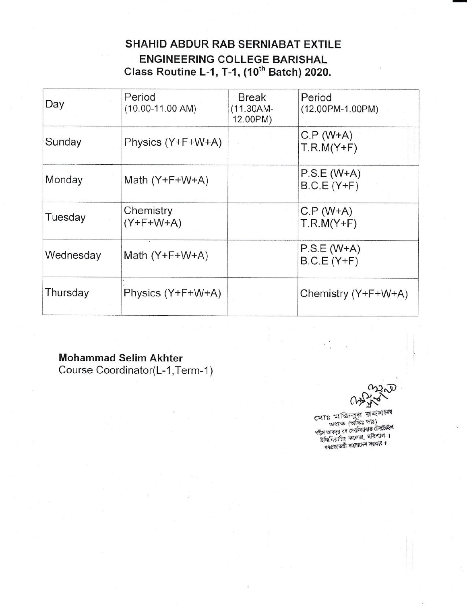## SHAHID ABDUR RAB SERNIABAT EXTILE ENGINEERING COLLEGE BARISHAL Class Routine L-1, T-1, (10'n Batch) 2020.

| Day       | Period<br>$(10.00 - 11.00$ AM) | Break<br>$(11.30AM -$<br>12.00PM) | Period<br>$(12.00PM - 1.00PM)$ |
|-----------|--------------------------------|-----------------------------------|--------------------------------|
| Sunday    | Physics (Y+F+W+A)              |                                   | $C.P (W+A)$<br>$T.R.M(Y+F)$    |
| Monday    | Math $(Y+F+W+A)$               |                                   | $P.S.E (W+A)$<br>$B.C.E(Y+F)$  |
| Tuesday   | Chemistry<br>$(Y+F+W+A)$       |                                   | $C.P (W+A)$<br>$T.R.M(Y+F)$    |
| Wednesday | Math $(Y+F+W+A)$               |                                   | $P.S.E (W+A)$<br>$B.C.E(Y+F)$  |
| Thursday  | Physics (Y+F+W+A)              |                                   | Chemistry (Y+F+W+A)            |

## Mohammad Selim Akhter

Course Coordinator(L-1, Term-1)

, ১৭০০ সু<br>মোঃ মজিবুর রহমান<br>নতুন (বতিঃ দাঃ) শহীদ আবদুর রব সেরনিয়াবাত টেকটাইল<br>- 'ইঞ্জিনিয়ারিং কলেজ, বরিশাল  $\ddot{\phantom{}}\phantom{0}\cdots$ বাংলাদেশ সরকার ৷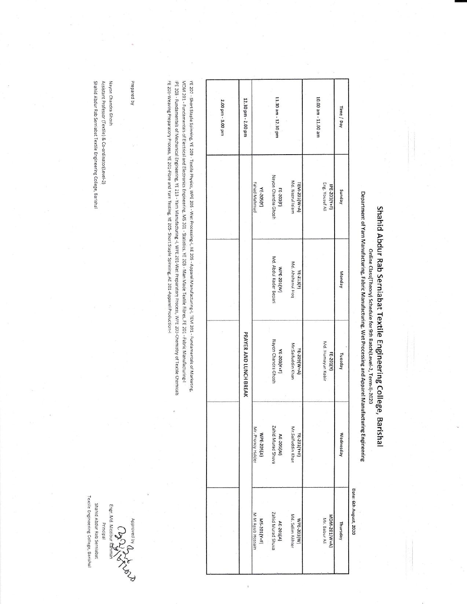Shahid Abdur Rab Serniabat Textile Engineering College, Barishal

Department of Yarn Manufacturing, Fabric Manufacturing, Wet Processing and Apparel Manufacturing Engineering Online Class(Theory) Schedule for 9th Batch(Level-2, Term-I)-2020

| 12.30 pm - 2.00 pm     |                                  | 11.30 am - 12.30 pm                  |                                  | 10.00 am - 11.00 am             | Time / Day |                        |
|------------------------|----------------------------------|--------------------------------------|----------------------------------|---------------------------------|------------|------------------------|
|                        | Fahad Mahmud<br><b>YE-205(Y)</b> | Nayon Chandra Ghosh<br>FE-203(F)     | Md. Nazrul Islam<br>TEM-201(W+A) | Eng. Yousuf Ali<br>IPE-203(Y+F) | Aepung     |                        |
|                        |                                  | Md. Abdul Kader Bepari<br>WPE-201(W) | Md. Ahshanul Hoq<br>YE-213(F)    |                                 | Monday     |                        |
| PRAYER AND LUNCH BREAK |                                  | Nayon Chandra Ghosh<br>YE-203(Y+F)   | Mr.Saifuddin Khan<br>YE-209(W+A) | Md. Humayun Kabir<br>FE-201(Y)  | Tuesday    |                        |
|                        | Mr. Pronoy Halder<br>WPE-205(A)  | Zahid Murad Shuva<br>AE-205(W)       | Mr.Saifuddin Khan<br>YE-201(Y+F) |                                 | Wednesday  |                        |
|                        | M M Ayub Hossain<br>MS-201(Y+F)  | Zahid Murad Shuva<br>AE-201(A)       | Md. Selim Akhter<br>MbE-203(W)   | MDM-201(W+A)<br>Mr. Babur Ali   | Thursday   | Date: 6th August, 2020 |
|                        |                                  |                                      |                                  |                                 |            |                        |

FE 203-Weaving Preparatory Process, YE 201-Fibre and Yam Testing, YE 205-Short Staple Spinning, AE 201-Apparel Production-I IPE 203 - Fundamentals of Mechanical Engineering, YE 213 - Yarn Manufacturing -i, WPE 201-Wet Preparatory Process, WPE 203-Chemistry of Textile Chemicals MDM 201 - Fundamentals of Electrical and Electronics Engineering, MS 201 - Statistics, YE 203 - Man Made Textile Fibres, FE 201 - Fabric Manufacturing-I YE 207 - Short Staple Spinning, YE 209 - Textile Physics, WPE 205 - Wet Processing-I, AE 205 - Apparel Manufacturing-I, TEM 201 - Fundamentals of Marketing,

Prepared by

Shahid Abdur Rab Serniabat Textile Engineering College, Barishal Assistant Professor (Textile) & Co-ordinator(Level-2) Nayon Chandra Ghosh

Textile Engineering College, Barishal Shahid Abdur Rab Serniabat Engr. Md. Mozibur Ra Principal 080

Approved by